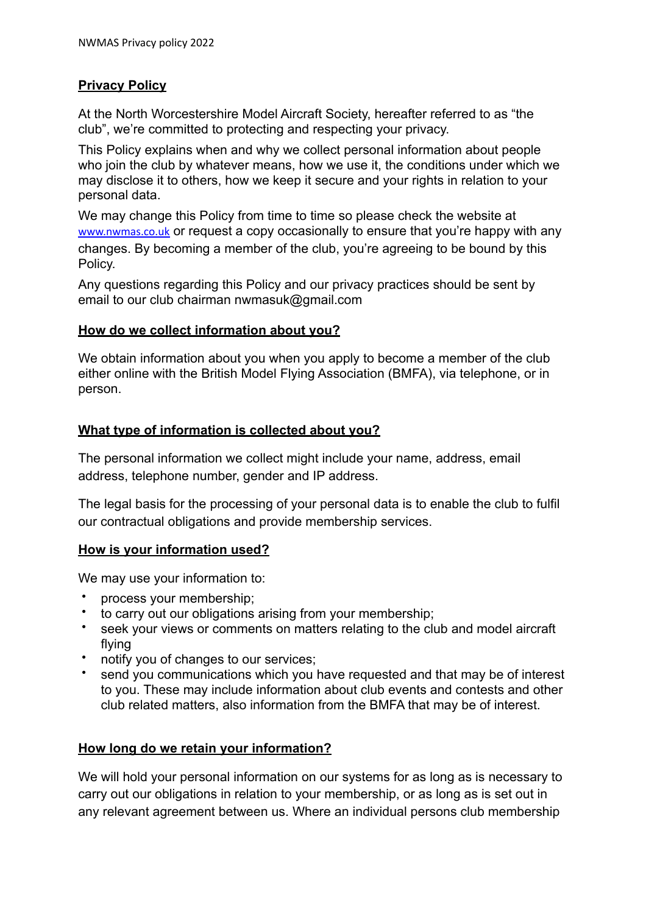# **Privacy Policy**

At the North Worcestershire Model Aircraft Society, hereafter referred to as "the club", we're committed to protecting and respecting your privacy.

This Policy explains when and why we collect personal information about people who join the club by whatever means, how we use it, the conditions under which we may disclose it to others, how we keep it secure and your rights in relation to your personal data.

We may change this Policy from time to time so please check the website at [www.nwmas.co.uk](http://www.nwmas.co.uk) or request a copy occasionally to ensure that you're happy with any changes. By becoming a member of the club, you're agreeing to be bound by this Policy.

Any questions regarding this Policy and our privacy practices should be sent by email to our club chairman nwmasuk@gmail.com

### **How do we collect information about you?**

We obtain information about you when you apply to become a member of the club either online with the British Model Flying Association (BMFA), via telephone, or in person.

### **What type of information is collected about you?**

The personal information we collect might include your name, address, email address, telephone number, gender and IP address.

The legal basis for the processing of your personal data is to enable the club to fulfil our contractual obligations and provide membership services.

### **How is your information used?**

We may use your information to:

- process your membership;
- to carry out our obligations arising from your membership;
- seek your views or comments on matters relating to the club and model aircraft flying
- notify you of changes to our services;
- send you communications which you have requested and that may be of interest to you. These may include information about club events and contests and other club related matters, also information from the BMFA that may be of interest.

### **How long do we retain your information?**

We will hold your personal information on our systems for as long as is necessary to carry out our obligations in relation to your membership, or as long as is set out in any relevant agreement between us. Where an individual persons club membership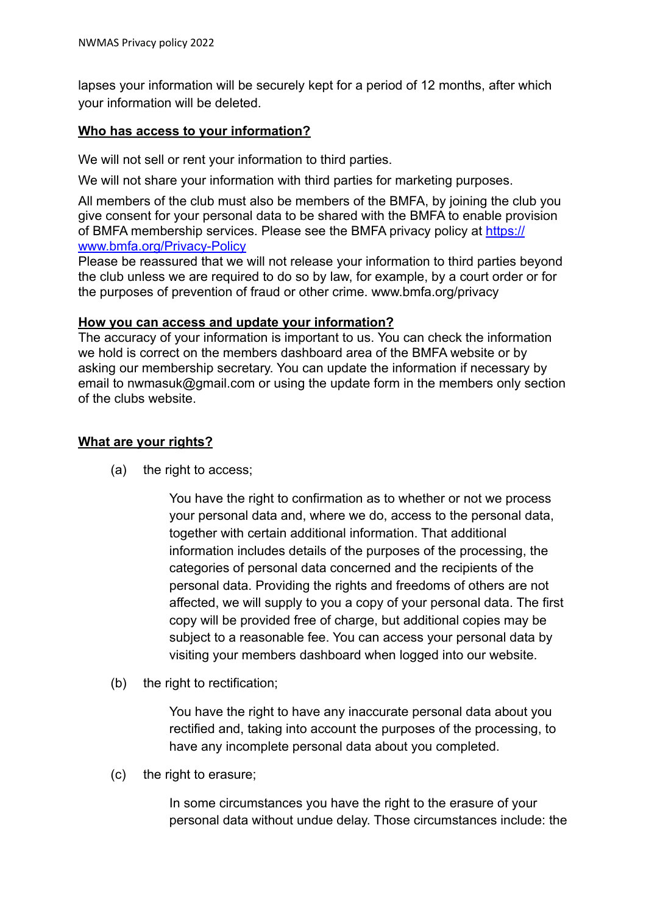lapses your information will be securely kept for a period of 12 months, after which your information will be deleted.

## **Who has access to your information?**

We will not sell or rent your information to third parties.

We will not share your information with third parties for marketing purposes.

All members of the club must also be members of the BMFA, by joining the club you give consent for your personal data to be shared with the BMFA to enable provision of BMFA membership services. Please see the BMFA privacy policy at [https://](https://www.bmfa.org/Privacy-Policy) [www.bmfa.org/Privacy-Policy](https://www.bmfa.org/Privacy-Policy)

Please be reassured that we will not release your information to third parties beyond the club unless we are required to do so by law, for example, by a court order or for the purposes of prevention of fraud or other crime. www.bmfa.org/privacy

#### **How you can access and update your information?**

The accuracy of your information is important to us. You can check the information we hold is correct on the members dashboard area of the BMFA website or by asking our membership secretary. You can update the information if necessary by email to nwmasuk@gmail.com or using the update form in the members only section of the clubs website.

# **What are your rights?**

(a) the right to access;

You have the right to confirmation as to whether or not we process your personal data and, where we do, access to the personal data, together with certain additional information. That additional information includes details of the purposes of the processing, the categories of personal data concerned and the recipients of the personal data. Providing the rights and freedoms of others are not affected, we will supply to you a copy of your personal data. The first copy will be provided free of charge, but additional copies may be subject to a reasonable fee. You can access your personal data by visiting your members dashboard when logged into our website.

(b) the right to rectification;

You have the right to have any inaccurate personal data about you rectified and, taking into account the purposes of the processing, to have any incomplete personal data about you completed.

(c) the right to erasure;

In some circumstances you have the right to the erasure of your personal data without undue delay. Those circumstances include: the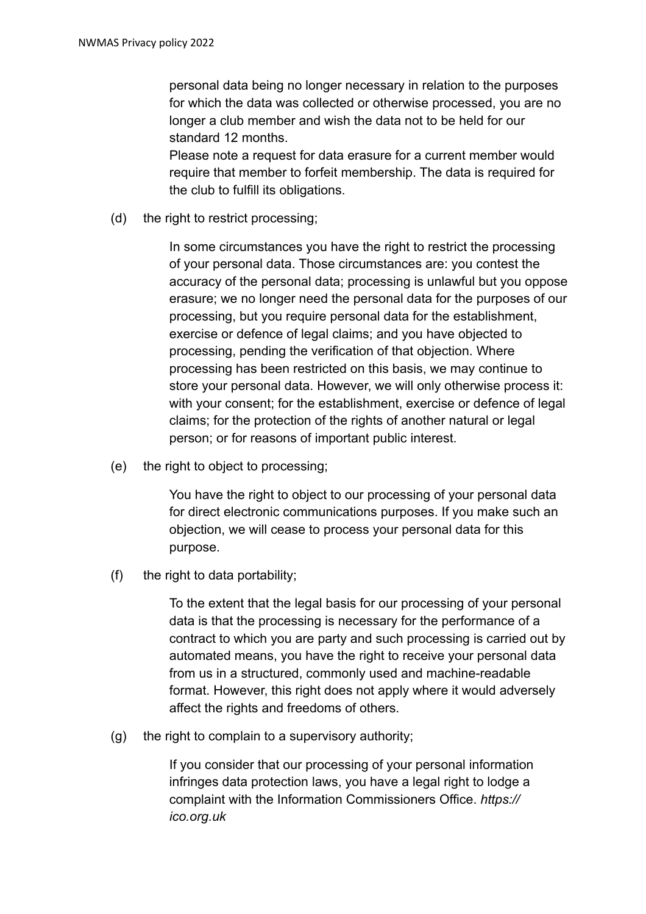personal data being no longer necessary in relation to the purposes for which the data was collected or otherwise processed, you are no longer a club member and wish the data not to be held for our standard 12 months.

Please note a request for data erasure for a current member would require that member to forfeit membership. The data is required for the club to fulfill its obligations.

(d) the right to restrict processing;

In some circumstances you have the right to restrict the processing of your personal data. Those circumstances are: you contest the accuracy of the personal data; processing is unlawful but you oppose erasure; we no longer need the personal data for the purposes of our processing, but you require personal data for the establishment, exercise or defence of legal claims; and you have objected to processing, pending the verification of that objection. Where processing has been restricted on this basis, we may continue to store your personal data. However, we will only otherwise process it: with your consent; for the establishment, exercise or defence of legal claims; for the protection of the rights of another natural or legal person; or for reasons of important public interest.

(e) the right to object to processing;

You have the right to object to our processing of your personal data for direct electronic communications purposes. If you make such an objection, we will cease to process your personal data for this purpose.

(f) the right to data portability;

To the extent that the legal basis for our processing of your personal data is that the processing is necessary for the performance of a contract to which you are party and such processing is carried out by automated means, you have the right to receive your personal data from us in a structured, commonly used and machine-readable format. However, this right does not apply where it would adversely affect the rights and freedoms of others.

(g) the right to complain to a supervisory authority;

If you consider that our processing of your personal information infringes data protection laws, you have a legal right to lodge a complaint with the Information Commissioners Office. *https:// ico.org.uk*